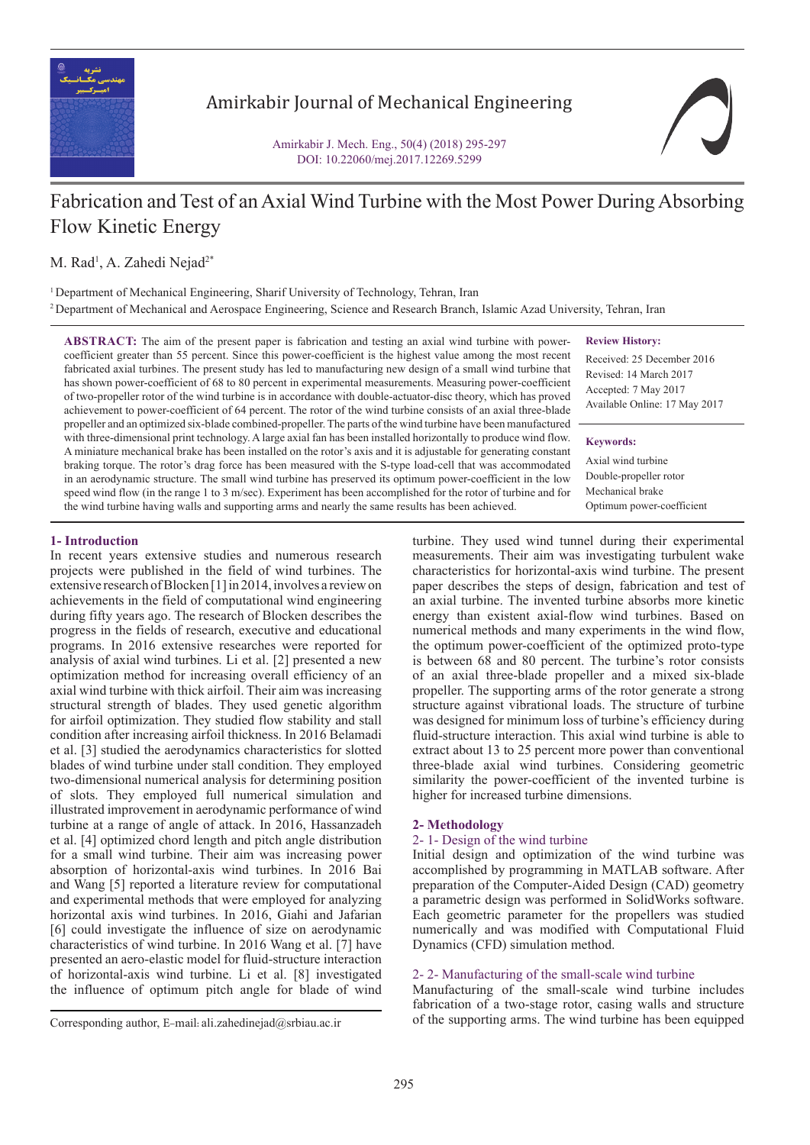

## Amirkabir Journal of Mechanical Engineering

Amirkabir J. Mech. Eng., 50(4) (2018) 295-297 DOI: 10.22060/mej.2017.12269.5299

# Fabrication and Test of an Axial Wind Turbine with the Most Power During Absorbing Flow Kinetic Energy

M. Rad<sup>1</sup>, A. Zahedi Nejad<sup>2\*</sup>

<sup>1</sup> Department of Mechanical Engineering, Sharif University of Technology, Tehran, Iran <sup>2</sup> Department of Mechanical and Aerospace Engineering, Science and Research Branch, Islamic Azad University, Tehran, Iran

**ABSTRACT:** The aim of the present paper is fabrication and testing an axial wind turbine with powercoefficient greater than 55 percent. Since this power-coefficient is the highest value among the most recent fabricated axial turbines. The present study has led to manufacturing new design of a small wind turbine that has shown power-coefficient of 68 to 80 percent in experimental measurements. Measuring power-coefficient of two-propeller rotor of the wind turbine is in accordance with double-actuator-disc theory, which has proved achievement to power-coefficient of 64 percent. The rotor of the wind turbine consists of an axial three-blade propeller and an optimized six-blade combined-propeller. The parts of the wind turbine have been manufactured with three-dimensional print technology. A large axial fan has been installed horizontally to produce wind flow. A miniature mechanical brake has been installed on the rotor's axis and it is adjustable for generating constant braking torque. The rotor's drag force has been measured with the S-type load-cell that was accommodated in an aerodynamic structure. The small wind turbine has preserved its optimum power-coefficient in the low speed wind flow (in the range 1 to 3 m/sec). Experiment has been accomplished for the rotor of turbine and for the wind turbine having walls and supporting arms and nearly the same results has been achieved.

**Review History:**

Received: 25 December 2016 Revised: 14 March 2017 Accepted: 7 May 2017 Available Online: 17 May 2017

**Keywords:**

Axial wind turbine Double-propeller rotor Mechanical brake Optimum power-coefficient

## **1- Introduction**

In recent years extensive studies and numerous research projects were published in the field of wind turbines. The extensive research of Blocken [1] in 2014, involves a review on achievements in the field of computational wind engineering during fifty years ago. The research of Blocken describes the progress in the fields of research, executive and educational programs. In 2016 extensive researches were reported for analysis of axial wind turbines. Li et al. [2] presented a new optimization method for increasing overall efficiency of an axial wind turbine with thick airfoil. Their aim was increasing structural strength of blades. They used genetic algorithm for airfoil optimization. They studied flow stability and stall condition after increasing airfoil thickness. In 2016 Belamadi et al. [3] studied the aerodynamics characteristics for slotted blades of wind turbine under stall condition. They employed two-dimensional numerical analysis for determining position of slots. They employed full numerical simulation and illustrated improvement in aerodynamic performance of wind turbine at a range of angle of attack. In 2016, Hassanzadeh et al. [4] optimized chord length and pitch angle distribution for a small wind turbine. Their aim was increasing power absorption of horizontal-axis wind turbines. In 2016 Bai and Wang [5] reported a literature review for computational and experimental methods that were employed for analyzing horizontal axis wind turbines. In 2016, Giahi and Jafarian [6] could investigate the influence of size on aerodynamic characteristics of wind turbine. In 2016 Wang et al. [7] have presented an aero-elastic model for fluid-structure interaction of horizontal-axis wind turbine. Li et al. [8] investigated the influence of optimum pitch angle for blade of wind

turbine. They used wind tunnel during their experimental measurements. Their aim was investigating turbulent wake characteristics for horizontal-axis wind turbine. The present paper describes the steps of design, fabrication and test of an axial turbine. The invented turbine absorbs more kinetic energy than existent axial-flow wind turbines. Based on numerical methods and many experiments in the wind flow, the optimum power-coefficient of the optimized proto-type is between 68 and 80 percent. The turbine's rotor consists of an axial three-blade propeller and a mixed six-blade propeller. The supporting arms of the rotor generate a strong structure against vibrational loads. The structure of turbine was designed for minimum loss of turbine's efficiency during fluid-structure interaction. This axial wind turbine is able to extract about 13 to 25 percent more power than conventional three-blade axial wind turbines. Considering geometric similarity the power-coefficient of the invented turbine is higher for increased turbine dimensions.

## **2- Methodology**

## 2- 1- Design of the wind turbine

Initial design and optimization of the wind turbine was accomplished by programming in MATLAB software. After preparation of the Computer-Aided Design (CAD) geometry a parametric design was performed in SolidWorks software. Each geometric parameter for the propellers was studied numerically and was modified with Computational Fluid Dynamics (CFD) simulation method.

## 2- 2- Manufacturing of the small-scale wind turbine

Manufacturing of the small-scale wind turbine includes fabrication of a two-stage rotor, casing walls and structure Corresponding author, E-mail: ali.zahedinejad@srbiau.ac.ir of the supporting arms. The wind turbine has been equipped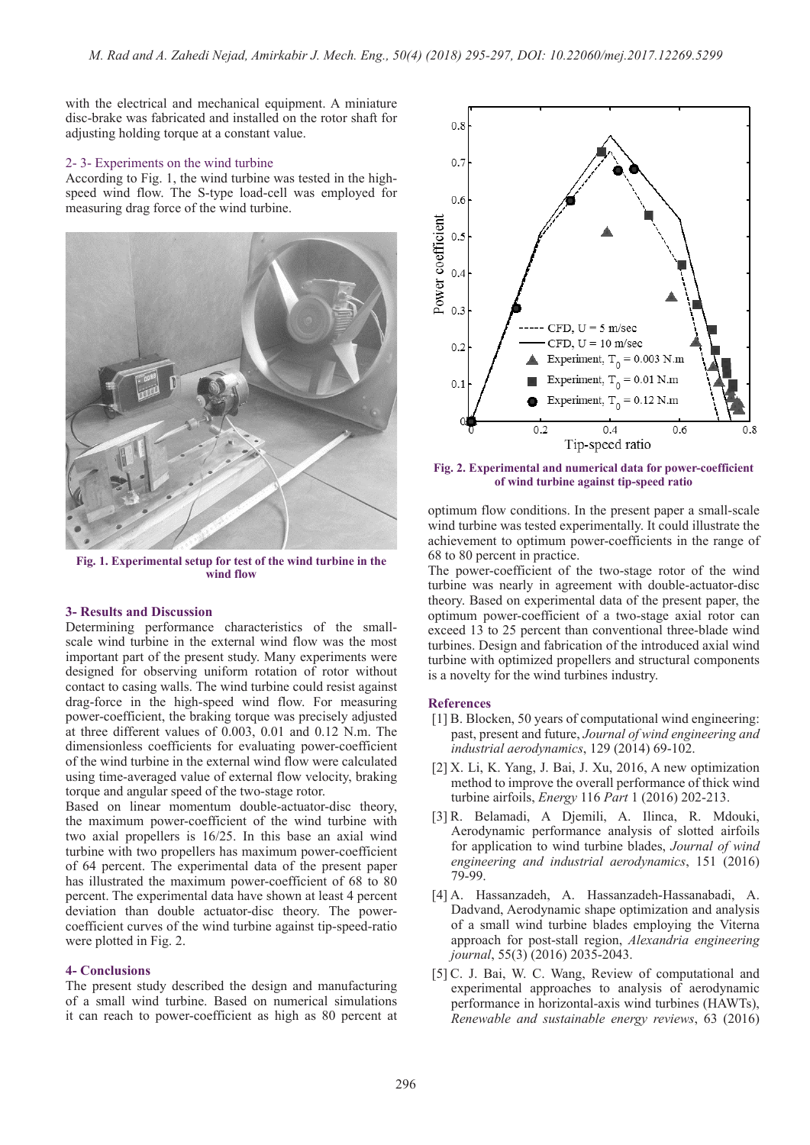with the electrical and mechanical equipment. A miniature disc-brake was fabricated and installed on the rotor shaft for adjusting holding torque at a constant value.

#### 2- 3- Experiments on the wind turbine

According to Fig. 1, the wind turbine was tested in the highspeed wind flow. The S-type load-cell was employed for measuring drag force of the wind turbine.



**Fig. 1. Experimental setup for test of the wind turbine in the wind flow**

### **3- Results and Discussion**

Determining performance characteristics of the smallscale wind turbine in the external wind flow was the most important part of the present study. Many experiments were designed for observing uniform rotation of rotor without contact to casing walls. The wind turbine could resist against drag-force in the high-speed wind flow. For measuring power-coefficient, the braking torque was precisely adjusted at three different values of 0.003, 0.01 and 0.12 N.m. The dimensionless coefficients for evaluating power-coefficient of the wind turbine in the external wind flow were calculated using time-averaged value of external flow velocity, braking torque and angular speed of the two-stage rotor.

Based on linear momentum double-actuator-disc theory, the maximum power-coefficient of the wind turbine with two axial propellers is 16/25. In this base an axial wind turbine with two propellers has maximum power-coefficient of 64 percent. The experimental data of the present paper has illustrated the maximum power-coefficient of 68 to 80 percent. The experimental data have shown at least 4 percent deviation than double actuator-disc theory. The powercoefficient curves of the wind turbine against tip-speed-ratio were plotted in Fig. 2.

### **4- Conclusions**

The present study described the design and manufacturing of a small wind turbine. Based on numerical simulations it can reach to power-coefficient as high as 80 percent at



**Fig. 2. Experimental and numerical data for power-coefficient of wind turbine against tip-speed ratio**

optimum flow conditions. In the present paper a small-scale wind turbine was tested experimentally. It could illustrate the achievement to optimum power-coefficients in the range of 68 to 80 percent in practice.

The power-coefficient of the two-stage rotor of the wind turbine was nearly in agreement with double-actuator-disc theory. Based on experimental data of the present paper, the optimum power-coefficient of a two-stage axial rotor can exceed 13 to 25 percent than conventional three-blade wind turbines. Design and fabrication of the introduced axial wind turbine with optimized propellers and structural components is a novelty for the wind turbines industry.

#### **References**

- [1] B. Blocken, 50 years of computational wind engineering: past, present and future, *Journal of wind engineering and industrial aerodynamics*, 129 (2014) 69-102.
- [2] X. Li, K. Yang, J. Bai, J. Xu, 2016, A new optimization method to improve the overall performance of thick wind turbine airfoils, *Energy* 116 *Part* 1 (2016) 202-213.
- [3] R. Belamadi, A Djemili, A. Ilinca, R. Mdouki, Aerodynamic performance analysis of slotted airfoils for application to wind turbine blades, *Journal of wind engineering and industrial aerodynamics*, 151 (2016) 79-99.
- [4] A. Hassanzadeh, A. Hassanzadeh-Hassanabadi, A. Dadvand, Aerodynamic shape optimization and analysis of a small wind turbine blades employing the Viterna approach for post-stall region, *Alexandria engineering journal*, 55(3) (2016) 2035-2043.
- [5] C. J. Bai, W. C. Wang, Review of computational and experimental approaches to analysis of aerodynamic performance in horizontal-axis wind turbines (HAWTs), *Renewable and sustainable energy reviews*, 63 (2016)